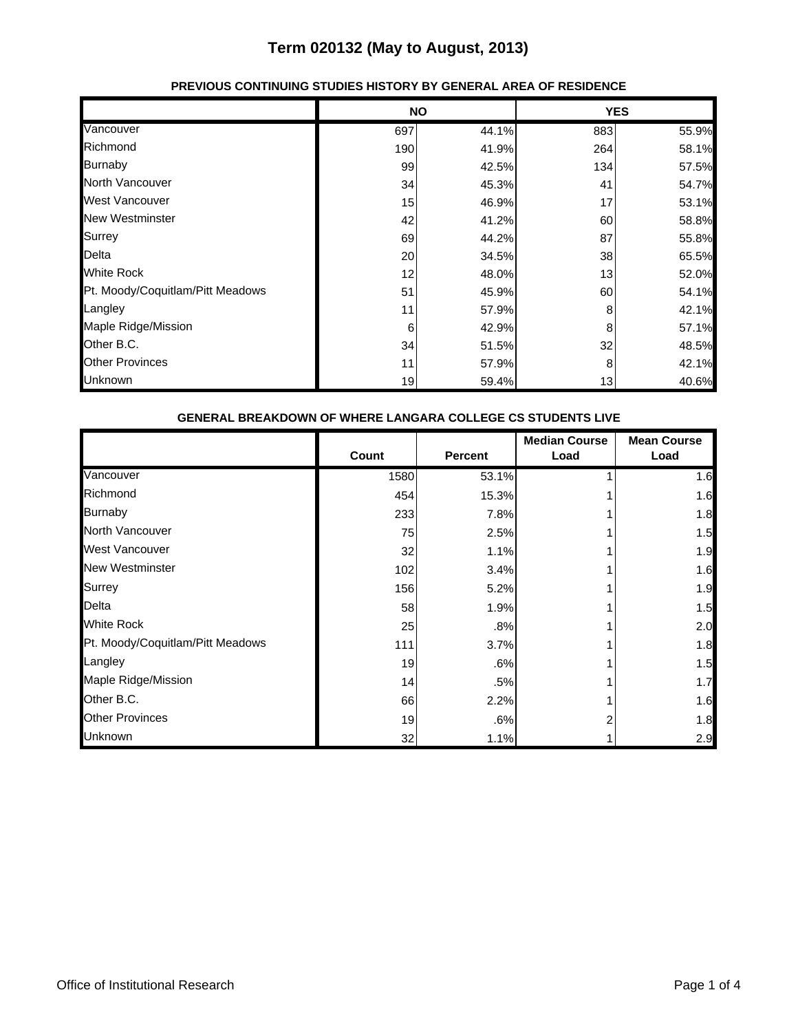|                                  |     | <b>NO</b> |     | <b>YES</b> |
|----------------------------------|-----|-----------|-----|------------|
| Vancouver                        | 697 | 44.1%     | 883 | 55.9%      |
| Richmond                         | 190 | 41.9%     | 264 | 58.1%      |
| <b>Burnaby</b>                   | 99  | 42.5%     | 134 | 57.5%      |
| <b>North Vancouver</b>           | 34  | 45.3%     | 41  | 54.7%      |
| <b>West Vancouver</b>            | 15  | 46.9%     | 17  | 53.1%      |
| <b>New Westminster</b>           | 42  | 41.2%     | 60  | 58.8%      |
| Surrey                           | 69  | 44.2%     | 87  | 55.8%      |
| Delta                            | 20  | 34.5%     | 38  | 65.5%      |
| <b>White Rock</b>                | 12  | 48.0%     | 13  | 52.0%      |
| Pt. Moody/Coquitlam/Pitt Meadows | 51  | 45.9%     | 60  | 54.1%      |
| Langley                          | 11  | 57.9%     | 8   | 42.1%      |
| Maple Ridge/Mission              | 6   | 42.9%     | 8   | 57.1%      |
| Other B.C.                       | 34  | 51.5%     | 32  | 48.5%      |
| <b>Other Provinces</b>           | 11  | 57.9%     | 8   | 42.1%      |
| Unknown                          | 19  | 59.4%     | 13  | 40.6%      |

### **PREVIOUS CONTINUING STUDIES HISTORY BY GENERAL AREA OF RESIDENCE**

| <b>GENERAL BREAKDOWN OF WHERE LANGARA COLLEGE CS STUDENTS LIVE</b> |       |                |                              |                            |
|--------------------------------------------------------------------|-------|----------------|------------------------------|----------------------------|
|                                                                    | Count | <b>Percent</b> | <b>Median Course</b><br>Load | <b>Mean Course</b><br>Load |
| Vancouver                                                          | 1580  | 53.1%          |                              | 1.6                        |
| Richmond                                                           | 454   | 15.3%          |                              | 1.6                        |
| Burnaby                                                            | 233   | 7.8%           |                              | 1.8                        |
| <b>North Vancouver</b>                                             | 75    | 2.5%           |                              | 1.5                        |
| West Vancouver                                                     | 32    | 1.1%           |                              | 1.9                        |
| <b>New Westminster</b>                                             | 102   | 3.4%           |                              | 1.6                        |
| Surrey                                                             | 156   | 5.2%           |                              | 1.9                        |
| Delta                                                              | 58    | 1.9%           |                              | 1.5                        |
| <b>White Rock</b>                                                  | 25    | .8%            |                              | 2.0                        |
| Pt. Moody/Coquitlam/Pitt Meadows                                   | 111   | 3.7%           |                              | 1.8                        |
| Langley                                                            | 19    | .6%            |                              | 1.5                        |
| Maple Ridge/Mission                                                | 14    | .5%            |                              | 1.7                        |
| Other B.C.                                                         | 66    | 2.2%           |                              | 1.6                        |
| <b>Other Provinces</b>                                             | 19    | .6%            | 2                            | 1.8                        |
| Unknown                                                            | 32    | 1.1%           |                              | 2.9                        |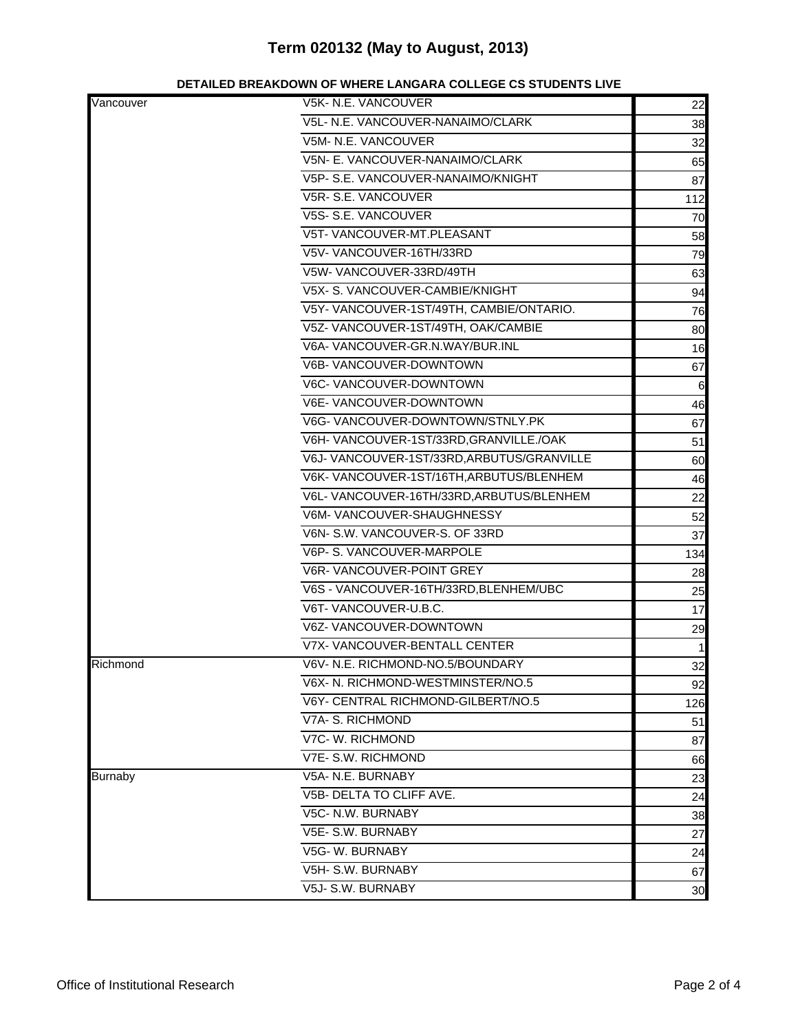#### **DETAILED BREAKDOWN OF WHERE LANGARA COLLEGE CS STUDENTS LIVE**

| Vancouver      | V5K- N.E. VANCOUVER                       | 22           |
|----------------|-------------------------------------------|--------------|
|                | V5L- N.E. VANCOUVER-NANAIMO/CLARK         | 38           |
|                | V5M- N.E. VANCOUVER                       | 32           |
|                | V5N- E. VANCOUVER-NANAIMO/CLARK           | 65           |
|                | V5P- S.E. VANCOUVER-NANAIMO/KNIGHT        | 87           |
|                | V5R-S.E. VANCOUVER                        | 112          |
|                | V5S- S.E. VANCOUVER                       | 70           |
|                | V5T- VANCOUVER-MT.PLEASANT                | 58           |
|                | V5V-VANCOUVER-16TH/33RD                   | 79           |
|                | V5W-VANCOUVER-33RD/49TH                   | 63           |
|                | V5X- S. VANCOUVER-CAMBIE/KNIGHT           | 94           |
|                | V5Y-VANCOUVER-1ST/49TH, CAMBIE/ONTARIO.   | 76           |
|                | V5Z- VANCOUVER-1ST/49TH, OAK/CAMBIE       | 80           |
|                | V6A-VANCOUVER-GR.N.WAY/BUR.INL            | 16           |
|                | V6B- VANCOUVER-DOWNTOWN                   | 67           |
|                | V6C- VANCOUVER-DOWNTOWN                   | 6            |
|                | V6E- VANCOUVER-DOWNTOWN                   | 46           |
|                | V6G- VANCOUVER-DOWNTOWN/STNLY.PK          | 67           |
|                | V6H-VANCOUVER-1ST/33RD, GRANVILLE./OAK    | 51           |
|                | V6J-VANCOUVER-1ST/33RD, ARBUTUS/GRANVILLE | 60           |
|                | V6K-VANCOUVER-1ST/16TH, ARBUTUS/BLENHEM   | 46           |
|                | V6L- VANCOUVER-16TH/33RD, ARBUTUS/BLENHEM | 22           |
|                | V6M-VANCOUVER-SHAUGHNESSY                 | 52           |
|                | V6N- S.W. VANCOUVER-S. OF 33RD            | 37           |
|                | V6P- S. VANCOUVER-MARPOLE                 | 134          |
|                | V6R-VANCOUVER-POINT GREY                  | 28           |
|                | V6S - VANCOUVER-16TH/33RD, BLENHEM/UBC    | 25           |
|                | V6T-VANCOUVER-U.B.C.                      | 17           |
|                | V6Z- VANCOUVER-DOWNTOWN                   | 29           |
|                | <b>V7X- VANCOUVER-BENTALL CENTER</b>      | $\mathbf{1}$ |
| Richmond       | V6V- N.E. RICHMOND-NO.5/BOUNDARY          | 32           |
|                | V6X- N. RICHMOND-WESTMINSTER/NO.5         | 92           |
|                | V6Y- CENTRAL RICHMOND-GILBERT/NO.5        | 126          |
|                | V7A- S. RICHMOND                          | 51           |
|                | V7C- W. RICHMOND                          | 87           |
|                | V7E- S.W. RICHMOND                        | 66           |
| <b>Burnaby</b> | V5A- N.E. BURNABY                         | 23           |
|                | V5B- DELTA TO CLIFF AVE.                  | 24           |
|                | V5C- N.W. BURNABY                         | 38           |
|                | V5E- S.W. BURNABY                         | 27           |
|                | V5G-W. BURNABY                            | 24           |
|                | V5H- S.W. BURNABY                         | 67           |
|                | V5J- S.W. BURNABY                         | 30           |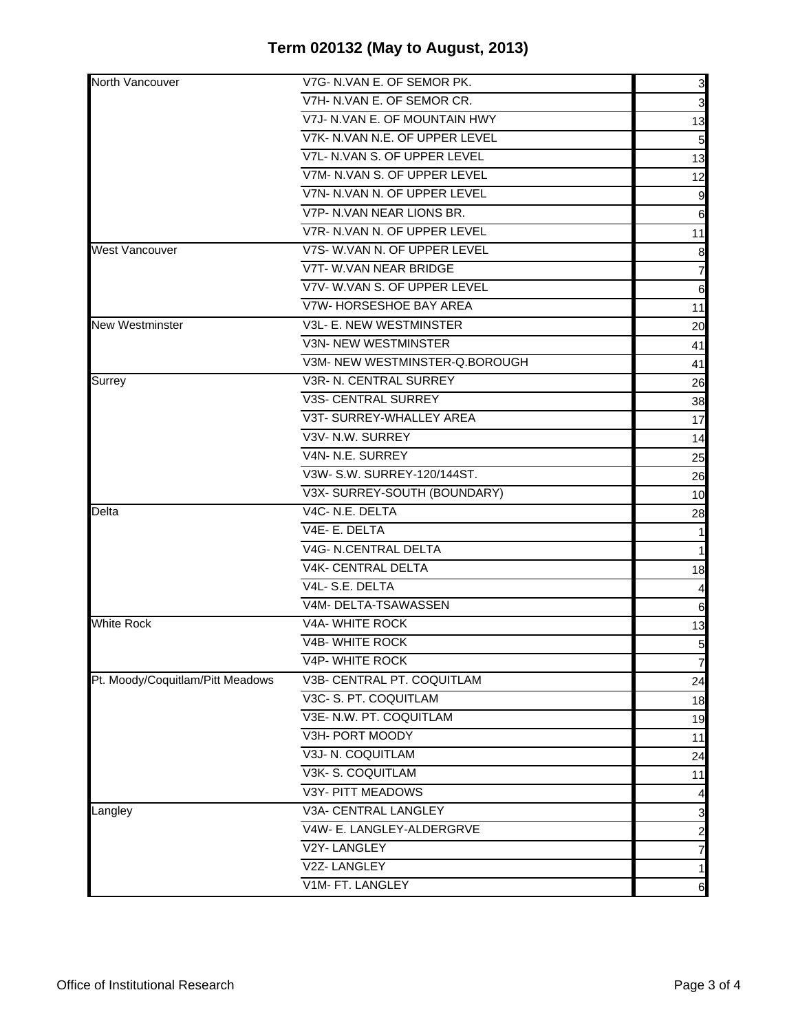| North Vancouver                  | V7G- N.VAN E. OF SEMOR PK.     | 3                       |
|----------------------------------|--------------------------------|-------------------------|
|                                  | V7H- N.VAN E. OF SEMOR CR.     | 3                       |
|                                  | V7J- N.VAN E. OF MOUNTAIN HWY  | 13                      |
|                                  | V7K- N.VAN N.E. OF UPPER LEVEL | 5                       |
|                                  | V7L- N.VAN S. OF UPPER LEVEL   | 13                      |
|                                  | V7M- N.VAN S. OF UPPER LEVEL   | 12                      |
|                                  | V7N- N.VAN N. OF UPPER LEVEL   | 9                       |
|                                  | V7P- N.VAN NEAR LIONS BR.      | 6                       |
|                                  | V7R- N.VAN N. OF UPPER LEVEL   | 11                      |
| <b>West Vancouver</b>            | V7S- W.VAN N. OF UPPER LEVEL   | 8                       |
|                                  | V7T- W.VAN NEAR BRIDGE         | 7                       |
|                                  | V7V-W.VAN S. OF UPPER LEVEL    | $6\phantom{.}6$         |
|                                  | V7W- HORSESHOE BAY AREA        | 11                      |
| <b>New Westminster</b>           | V3L- E. NEW WESTMINSTER        | 20                      |
|                                  | <b>V3N- NEW WESTMINSTER</b>    | 41                      |
|                                  | V3M- NEW WESTMINSTER-Q.BOROUGH | 41                      |
| Surrey                           | V3R- N. CENTRAL SURREY         | 26                      |
|                                  | <b>V3S- CENTRAL SURREY</b>     | 38                      |
|                                  | V3T- SURREY-WHALLEY AREA       | 17                      |
|                                  | V3V- N.W. SURREY               | 14                      |
|                                  | V4N- N.E. SURREY               | 25                      |
|                                  | V3W- S.W. SURREY-120/144ST.    | 26                      |
|                                  | V3X-SURREY-SOUTH (BOUNDARY)    | 10                      |
| Delta                            | V4C-N.E. DELTA                 | 28                      |
|                                  | V4E-E. DELTA                   | 1                       |
|                                  | <b>V4G- N.CENTRAL DELTA</b>    | 1                       |
|                                  | V4K- CENTRAL DELTA             | 18                      |
|                                  | V4L-S.E. DELTA                 | 4                       |
|                                  | V4M- DELTA-TSAWASSEN           | 6                       |
| <b>White Rock</b>                | <b>V4A- WHITE ROCK</b>         | 13                      |
|                                  | V4B- WHITE ROCK                | $\overline{5}$          |
|                                  | V4P- WHITE ROCK                | $\overline{7}$          |
| Pt. Moody/Coquitlam/Pitt Meadows | V3B- CENTRAL PT. COQUITLAM     | 24                      |
|                                  | V3C- S. PT. COQUITLAM          | 18                      |
|                                  | V3E- N.W. PT. COQUITLAM        | 19                      |
|                                  | V3H- PORT MOODY                | 11                      |
|                                  | V3J- N. COQUITLAM              | 24                      |
|                                  | V3K-S. COQUITLAM               | 11                      |
|                                  | V3Y- PITT MEADOWS              | $\overline{a}$          |
| Langley                          | V3A- CENTRAL LANGLEY           | 3                       |
|                                  | V4W- E. LANGLEY-ALDERGRVE      | $\overline{\mathbf{c}}$ |
|                                  | V2Y-LANGLEY                    | 7                       |
|                                  | V2Z-LANGLEY                    | $\mathbf{1}$            |
|                                  | V1M- FT. LANGLEY               | $\,$ 6 $\,$             |